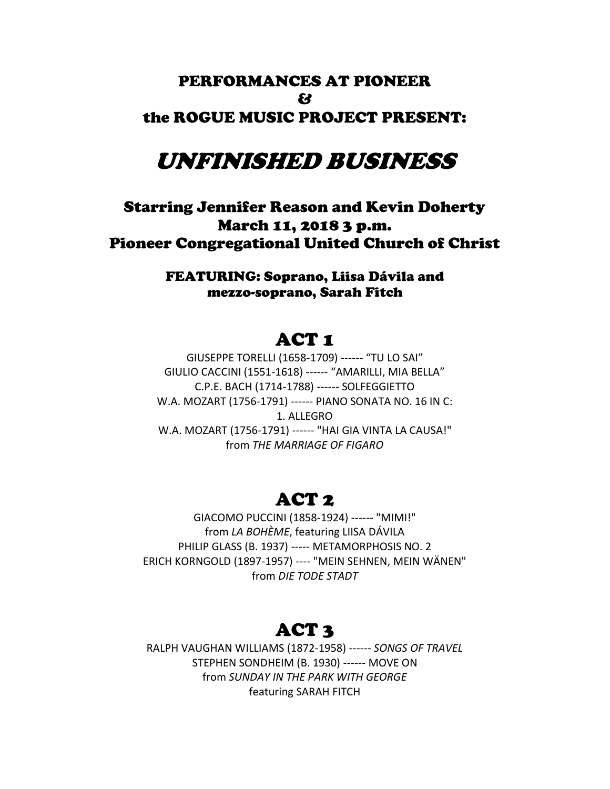# PERFORMANCES AT PIONEER  $f<sup>2</sup>$ the ROGUE MUSIC PROJECT PRESENT:

# UNFINISHED BUSINESS

# Starring Jennifer Reason and Kevin Doherty March 11, 2018 3 p.m. Pioneer Congregational United Church of Christ

FEATURING: Soprano, Liisa Dávila and mezzo-soprano, Sarah Fitch

# ACT 1

GIUSEPPE TORELLI (1658-1709) ------ "TU LO SAI" GIULIO CACCINI (1551-1618) ------ "AMARILLI, MIA BELLA" C.P.E. BACH (1714-1788) ------ SOLFEGGIETTO W.A. MOZART (1756-1791) ------ PIANO SONATA NO. 16 IN C: 1. ALLEGRO W.A. MOZART (1756-1791) ------ "HAI GIA VINTA LA CAUSA!" from *THE MARRIAGE OF FIGARO*

# ACT 2

GIACOMO PUCCINI (1858-1924) ------ "MIMI!" from *LA BOHÈME*, featuring LIISA DÁVILA PHILIP GLASS (B. 1937) ----- METAMORPHOSIS NO. 2 ERICH KORNGOLD (1897-1957) ---- "MEIN SEHNEN, MEIN WÄNEN" from *DIE TODE STADT*

# ACT 3

RALPH VAUGHAN WILLIAMS (1872-1958) ------ *SONGS OF TRAVEL* STEPHEN SONDHEIM (B. 1930) ------ MOVE ON from *SUNDAY IN THE PARK WITH GEORGE* featuring SARAH FITCH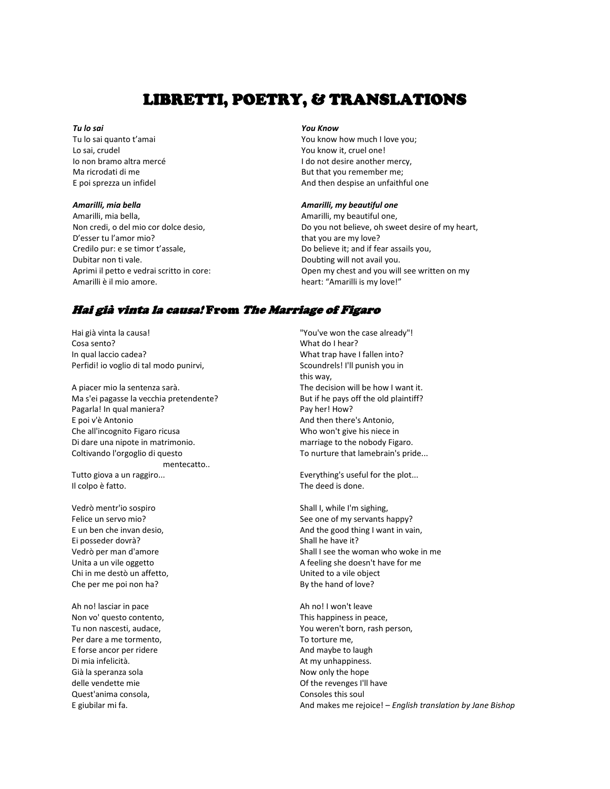# LIBRETTI, POETRY, & TRANSLATIONS

#### *Tu lo sai*

Tu lo sai quanto t'amai Lo sai, crudel Io non bramo altra mercé Ma ricrodati di me E poi sprezza un infidel

#### *Amarilli, mia bella*

Amarilli, mia bella, Non credi, o del mio cor dolce desio, D'esser tu l'amor mio? Credilo pur: e se timor t'assale, Dubitar non ti vale. Aprimi il petto e vedrai scritto in core: Amarilli è il mio amore.

#### *You Know*

You know how much I love you; You know it, cruel one! I do not desire another mercy, But that you remember me; And then despise an unfaithful one

### *Amarilli, my beautiful one*

Amarilli, my beautiful one, Do you not believe, oh sweet desire of my heart, that you are my love? Do believe it; and if fear assails you, Doubting will not avail you. Open my chest and you will see written on my heart: "Amarilli is my love!"

# Hai già vinta la causa! From The Marriage of Figaro

Hai già vinta la causa! "You've won the case already"! Cosa sento? What do I hear? In qual laccio cadea? What trap have I fallen into? Perfidi! io voglio di tal modo punirvi, Scoundrels! I'll punish you in

A piacer mio la sentenza sarà. The decision will be how I want it. Ma s'ei pagasse la vecchia pretendente? But if he pays off the old plaintiff? Pagarla! In qual maniera? Pagarla! In qual maniera? E poi v'è Antonio And then there's Antonio, Che all'incognito Figaro ricusa Who won't give his niece in Di dare una nipote in matrimonio. The matrimonion of the nobody Figaro. Coltivando l'orgoglio di questo To nurture that lamebrain's pride... mentecatto.. Tutto giova a un raggiro... Tutto giova a un raggiro... Il colpo è fatto. The deed is done.

Vedrò mentr'io sospiro strattura all'anno 1920 alla Shall I, while I'm sighing, Ei posseder dovrà? Shall he have it? Chi in me destò un affetto, United to a vile object Che per me poi non ha? By the hand of love?

Ah no! lasciar in pace and the Ah no I won't leave Non vo' questo contento, Non vo' questo contento, Per dare a me tormento, The mass of the Total To torture me, E forse ancor per ridere And maybe to laugh Di mia infelicità. At my unhappiness. Già la speranza sola Now only the hope of the hope of the hope of the hope of the hope of the hope of the hope of the hope of the hope of the hope of the hope of the hope of the hope of the hope of the hope of the hope of delle vendette mie Of the revenges I'll have Quest'anima consola, Consoles this soul

this way,

Felice un servo mio? See one of my servants happy? E un ben che invan desio, And the good thing I want in vain, Vedrò per man d'amore Shall I see the woman who woke in me Unita a un vile oggetto A feeling she doesn't have for me

Tu non nascesti, audace, You weren't born, rash person, E giubilar mi fa. And makes me rejoice! – *English translation by Jane Bishop*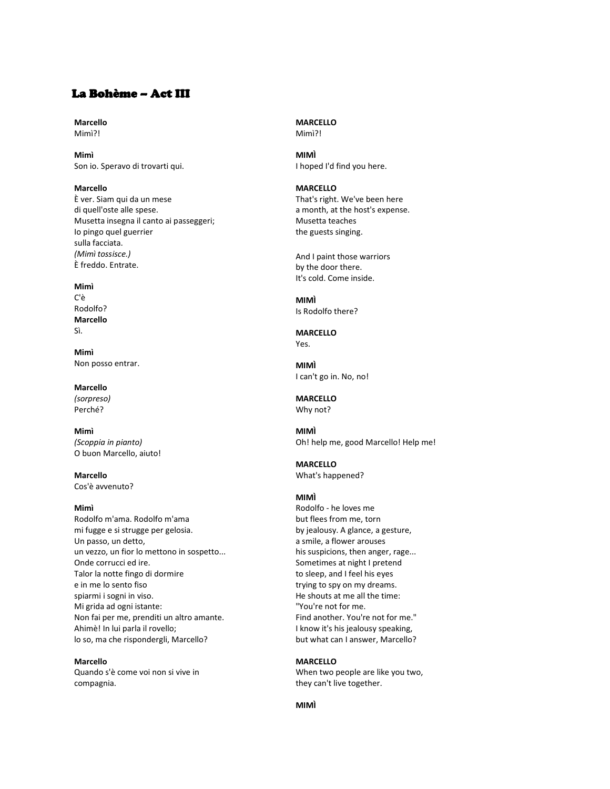# La Bohème – Act III

**Marcello** Mimì?!

**Mimì** Son io. Speravo di trovarti qui.

**Marcello** È ver. Siam qui da un mese di quell'oste alle spese. Musetta insegna il canto ai passeggeri; Io pingo quel guerrier sulla facciata. *(Mimì tossisce.)* È freddo. Entrate.

#### **Mimì**

C'è Rodolfo? **Marcello** Sì.

**Mimì** Non posso entrar.

**Marcello** *(sorpreso)* Perché?

**Mimì** *(Scoppia in pianto)* O buon Marcello, aiuto!

**Marcello** Cos'è avvenuto?

### **Mimì**

Rodolfo m'ama. Rodolfo m'ama mi fugge e si strugge per gelosia. Un passo, un detto, un vezzo, un fior lo mettono in sospetto... Onde corrucci ed ire. Talor la notte fingo di dormire e in me lo sento fiso spiarmi i sogni in viso. Mi grida ad ogni istante: Non fai per me, prenditi un altro amante. Ahimè! In lui parla il rovello; lo so, ma che rispondergli, Marcello?

**Marcello**

Quando s'è come voi non si vive in compagnia.

**MARCELLO** Mimì?!

**MIMÌ** I hoped I'd find you here.

**MARCELLO** That's right. We've been here

a month, at the host's expense. Musetta teaches the guests singing.

And I paint those warriors by the door there. It's cold. Come inside.

**MIMÌ** Is Rodolfo there?

**MARCELLO** Yes.

**MIMÌ** I can't go in. No, no!

**MARCELLO** Why not?

**MIMÌ** Oh! help me, good Marcello! Help me!

**MARCELLO** What's happened?

### **MIMÌ**

Rodolfo - he loves me but flees from me, torn by jealousy. A glance, a gesture, a smile, a flower arouses his suspicions, then anger, rage... Sometimes at night I pretend to sleep, and I feel his eyes trying to spy on my dreams. He shouts at me all the time: "You're not for me. Find another. You're not for me." I know it's his jealousy speaking, but what can I answer, Marcello?

**MARCELLO** When two people are like you two, they can't live together.

**MIMÌ**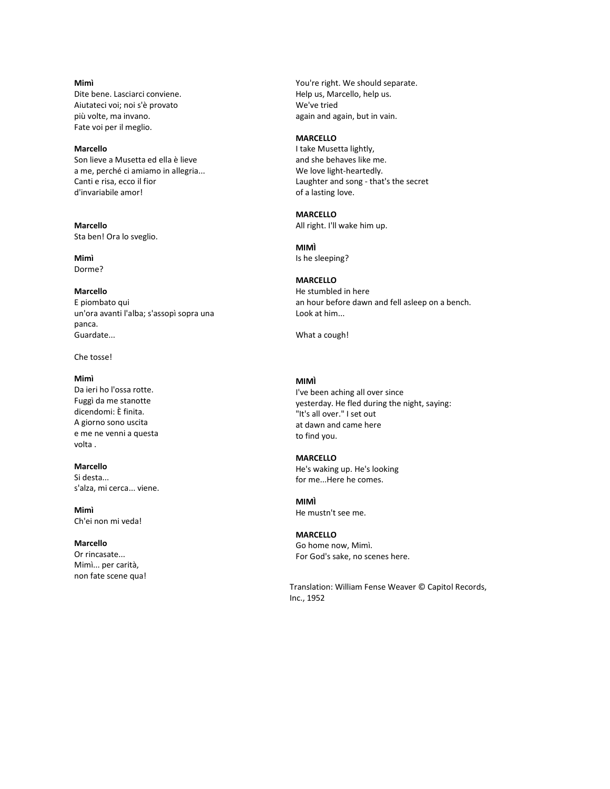### **Mimì**

Dite bene. Lasciarci conviene. Aiutateci voi; noi s'è provato più volte, ma invano. Fate voi per il meglio.

# **Marcello**

Son lieve a Musetta ed ella è lieve a me, perché ci amiamo in allegria... Canti e risa, ecco il fior d'invariabile amor!

**Marcello** Sta ben! Ora lo sveglio.

**Mimì** Dorme?

#### **Marcello**

E piombato qui un'ora avanti l'alba; s'assopì sopra una panca. Guardate...

### Che tosse!

#### **Mimì**

Da ieri ho l'ossa rotte. Fuggì da me stanotte dicendomi: È finita. A giorno sono uscita e me ne venni a questa volta .

# **Marcello**

Si desta... s'alza, mi cerca... viene.

**Mimì** Ch'ei non mi veda!

## **Marcello**

Or rincasate... Mimì... per carità, non fate scene qua! You're right. We should separate. Help us, Marcello, help us. We've tried again and again, but in vain.

# **MARCELLO**

I take Musetta lightly, and she behaves like me. We love light-heartedly. Laughter and song - that's the secret of a lasting love.

# **MARCELLO**

All right. I'll wake him up.

**MIMÌ** Is he sleeping?

# **MARCELLO**

He stumbled in here an hour before dawn and fell asleep on a bench. Look at him...

What a cough!

#### **MIMÌ**

I've been aching all over since yesterday. He fled during the night, saying: "It's all over." I set out at dawn and came here to find you.

#### **MARCELLO**

He's waking up. He's looking for me...Here he comes.

#### **MIMÌ** He mustn't see me.

## **MARCELLO**

Go home now, Mimì. For God's sake, no scenes here.

Translation: William Fense Weaver © Capitol Records, Inc., 1952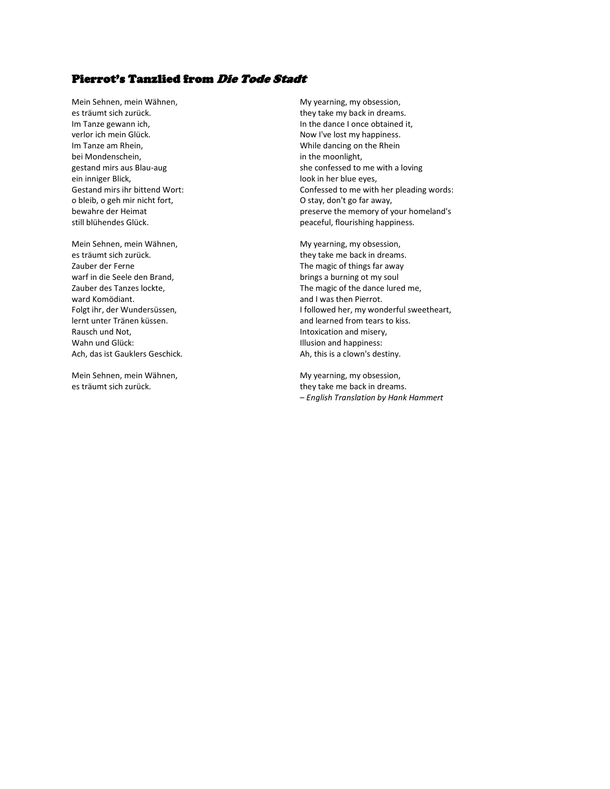# Pierrot's Tanzlied from Die Tode Stadt

Mein Sehnen, mein Wähnen, mein Wähnen, my obsession, mein Wähnen, musikaan met voor de met verstelling, my obsession, es träumt sich zurück. they take my back in dreams. verlor ich mein Glück. Now I've lost my happiness. Im Tanze am Rhein, The Communist Communist Communist Communist Communist Communist Communist Communist Communist Communist Communist Communist Communist Communist Communist Communist Communist Communist Communist Communist bei Mondenschein, in the moonlight, ein inniger Blick, and the settlement of the settlement of the blue eyes, and the settlement of the settlement of the settlement of the settlement of the settlement of the settlement of the settlement of the settlement of o bleib, o geh mir nicht fort, O stay, don't go far away,

Mein Sehnen, mein Wähnen, Music eines My yearning, my obsession, es träumt sich zurück. they take me back in dreams. Zauber der Ferne The magic of things far away warf in die Seele den Brand, brings a burning ot my soul<br>
Zauber des Tanzes lockte, brings a burning ot my soul<br>
The magic of the dance lure ward Komödiant. And I was then Pierrot. lernt unter Tränen küssen. And and learned from tears to kiss. Rausch und Not, **Intoxication and misery**, Wahn und Glück: **Illusion and happiness**: Ach, das ist Gauklers Geschick. And the state of the Ah, this is a clown's destiny.

Mein Sehnen, mein Wähnen, Music eines My yearning, my obsession,

Im Tanze gewann ich, In the dance I once obtained it, gestand mirs aus Blau-aug she confessed to me with a loving Gestand mirs ihr bittend Wort: Confessed to me with her pleading words: bewahre der Heimat **preserve the memory of your homeland's** still blühendes Glück. peaceful, flourishing happiness.

The magic of the dance lured me, Folgt ihr, der Wundersüssen, I followed her, my wonderful sweetheart,

es träumt sich zurück. they take me back in dreams. – *English Translation by Hank Hammert*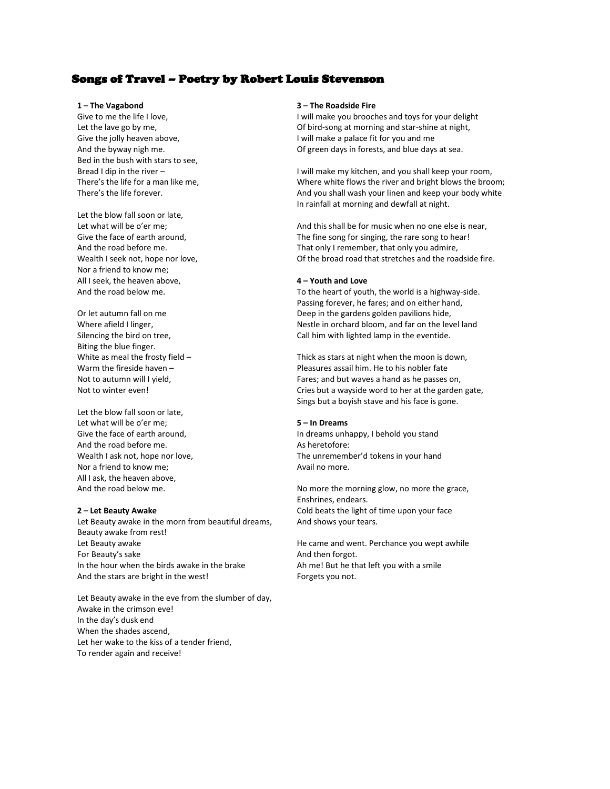# Songs of Travel – Poetry by Robert Louis Stevenson

#### **1 – The Vagabond**

Give to me the life I love, Let the lave go by me, Give the jolly heaven above, And the byway nigh me. Bed in the bush with stars to see, Bread I dip in the river – There's the life for a man like me, There's the life forever.

Let the blow fall soon or late, Let what will be o'er me; Give the face of earth around, And the road before me. Wealth I seek not, hope nor love, Nor a friend to know me; All I seek, the heaven above, And the road below me.

Or let autumn fall on me Where afield I linger, Silencing the bird on tree, Biting the blue finger. White as meal the frosty field – Warm the fireside haven – Not to autumn will I yield, Not to winter even!

Let the blow fall soon or late, Let what will be o'er me; Give the face of earth around, And the road before me. Wealth I ask not, hope nor love, Nor a friend to know me; All I ask, the heaven above, And the road below me.

#### **2 – Let Beauty Awake**

Let Beauty awake in the morn from beautiful dreams, Beauty awake from rest! Let Beauty awake For Beauty's sake In the hour when the birds awake in the brake And the stars are bright in the west!

Let Beauty awake in the eve from the slumber of day, Awake in the crimson eve! In the day's dusk end When the shades ascend, Let her wake to the kiss of a tender friend, To render again and receive!

#### **3 – The Roadside Fire**

I will make you brooches and toys for your delight Of bird-song at morning and star-shine at night, I will make a palace fit for you and me Of green days in forests, and blue days at sea.

I will make my kitchen, and you shall keep your room, Where white flows the river and bright blows the broom; And you shall wash your linen and keep your body white In rainfall at morning and dewfall at night.

And this shall be for music when no one else is near, The fine song for singing, the rare song to hear! That only I remember, that only you admire, Of the broad road that stretches and the roadside fire.

#### **4 – Youth and Love**

To the heart of youth, the world is a highway-side. Passing forever, he fares; and on either hand, Deep in the gardens golden pavilions hide, Nestle in orchard bloom, and far on the level land Call him with lighted lamp in the eventide.

Thick as stars at night when the moon is down, Pleasures assail him. He to his nobler fate Fares; and but waves a hand as he passes on, Cries but a wayside word to her at the garden gate, Sings but a boyish stave and his face is gone.

#### **5 – In Dreams**

In dreams unhappy, I behold you stand As heretofore: The unremember'd tokens in your hand Avail no more.

No more the morning glow, no more the grace, Enshrines, endears. Cold beats the light of time upon your face And shows your tears.

He came and went. Perchance you wept awhile And then forgot. Ah me! But he that left you with a smile Forgets you not.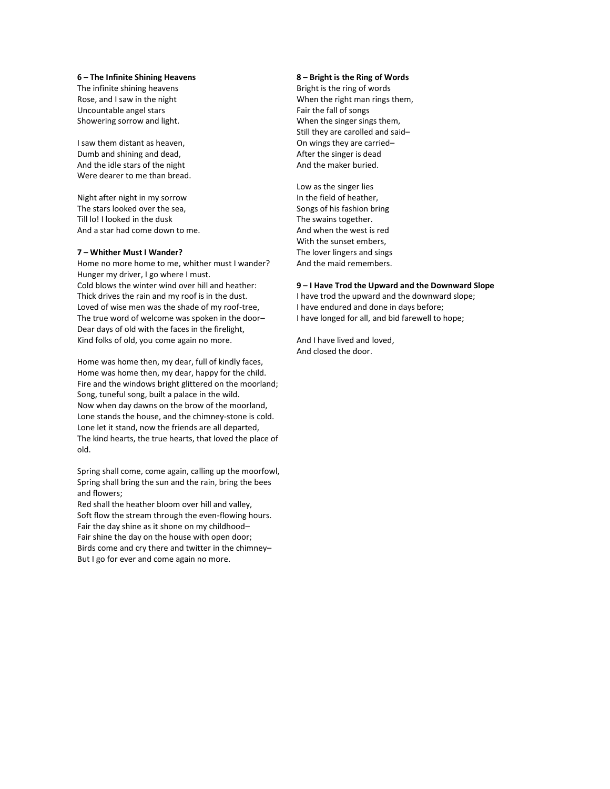#### **6 – The Infinite Shining Heavens**

The infinite shining heavens Rose, and I saw in the night Uncountable angel stars Showering sorrow and light.

I saw them distant as heaven, Dumb and shining and dead, And the idle stars of the night Were dearer to me than bread.

Night after night in my sorrow The stars looked over the sea, Till lo! I looked in the dusk And a star had come down to me.

#### **7 – Whither Must I Wander?**

Home no more home to me, whither must I wander? Hunger my driver, I go where I must. Cold blows the winter wind over hill and heather: Thick drives the rain and my roof is in the dust. Loved of wise men was the shade of my roof-tree, The true word of welcome was spoken in the door– Dear days of old with the faces in the firelight, Kind folks of old, you come again no more.

Home was home then, my dear, full of kindly faces, Home was home then, my dear, happy for the child. Fire and the windows bright glittered on the moorland; Song, tuneful song, built a palace in the wild. Now when day dawns on the brow of the moorland, Lone stands the house, and the chimney-stone is cold. Lone let it stand, now the friends are all departed, The kind hearts, the true hearts, that loved the place of old.

Spring shall come, come again, calling up the moorfowl, Spring shall bring the sun and the rain, bring the bees and flowers;

Red shall the heather bloom over hill and valley, Soft flow the stream through the even-flowing hours. Fair the day shine as it shone on my childhood– Fair shine the day on the house with open door; Birds come and cry there and twitter in the chimney– But I go for ever and come again no more.

#### **8 – Bright is the Ring of Words**

Bright is the ring of words When the right man rings them, Fair the fall of songs When the singer sings them, Still they are carolled and said– On wings they are carried– After the singer is dead And the maker buried.

Low as the singer lies In the field of heather, Songs of his fashion bring The swains together. And when the west is red With the sunset embers, The lover lingers and sings And the maid remembers.

#### **9 – I Have Trod the Upward and the Downward Slope**

I have trod the upward and the downward slope; I have endured and done in days before; I have longed for all, and bid farewell to hope;

And I have lived and loved, And closed the door.